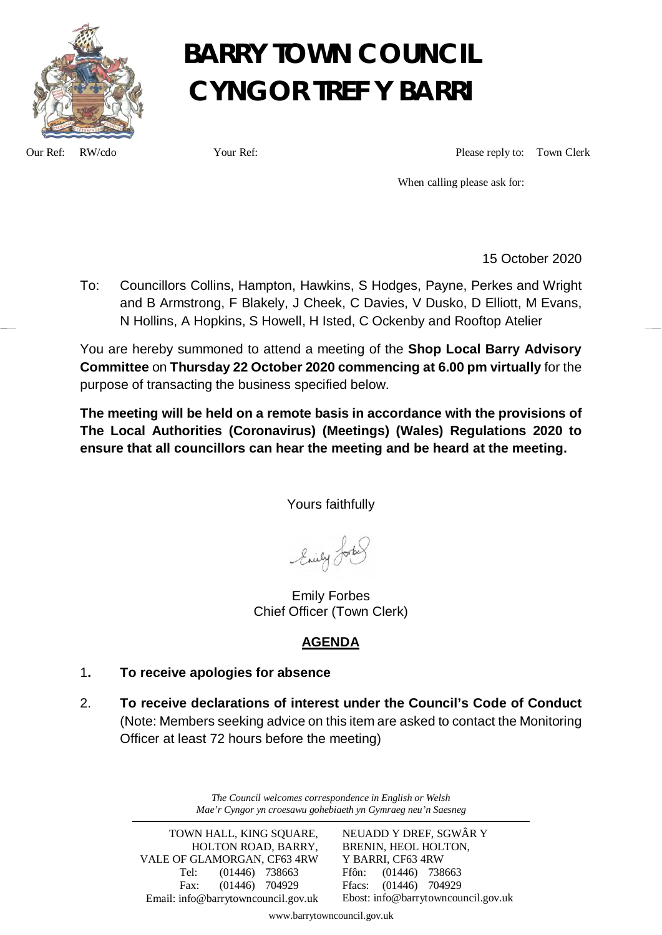

## **BARRY TOWN COUNCIL CYNGOR TREF Y BARRI**

Our Ref: RW/cdo Your Ref: Please reply to: Town Clerk

When calling please ask for:

15 October 2020

To: Councillors Collins, Hampton, Hawkins, S Hodges, Payne, Perkes and Wright and B Armstrong, F Blakely, J Cheek, C Davies, V Dusko, D Elliott, M Evans, N Hollins, A Hopkins, S Howell, H Isted, C Ockenby and Rooftop Atelier

You are hereby summoned to attend a meeting of the **Shop Local Barry Advisory Committee** on **Thursday 22 October 2020 commencing at 6.00 pm virtually** for the purpose of transacting the business specified below.

**The meeting will be held on a remote basis in accordance with the provisions of The Local Authorities (Coronavirus) (Meetings) (Wales) Regulations 2020 to ensure that all councillors can hear the meeting and be heard at the meeting.**

Yours faithfully

Enily Lorbe

Emily Forbes Chief Officer (Town Clerk)

### **AGENDA**

#### 1**. To receive apologies for absence**

2. **To receive declarations of interest under the Council's Code of Conduct** (Note: Members seeking advice on this item are asked to contact the Monitoring Officer at least 72 hours before the meeting)

> *The Council welcomes correspondence in English or Welsh Mae'r Cyngor yn croesawu gohebiaeth yn Gymraeg neu'n Saesneg*

TOWN HALL, KING SOUARE, HOLTON ROAD, BARRY, VALE OF GLAMORGAN, CF63 4RW Tel: (01446) 738663 Fax: (01446) 704929 Email: info@barrytowncouncil.gov.uk NEUADD Y DREF, SGWÂR Y BRENIN, HEOL HOLTON, Y BARRI, CF63 4RW Ffôn: (01446) 738663 Ffacs: (01446) 704929 Ebost: info@barrytowncouncil.gov.uk

www.barrytowncouncil.gov.uk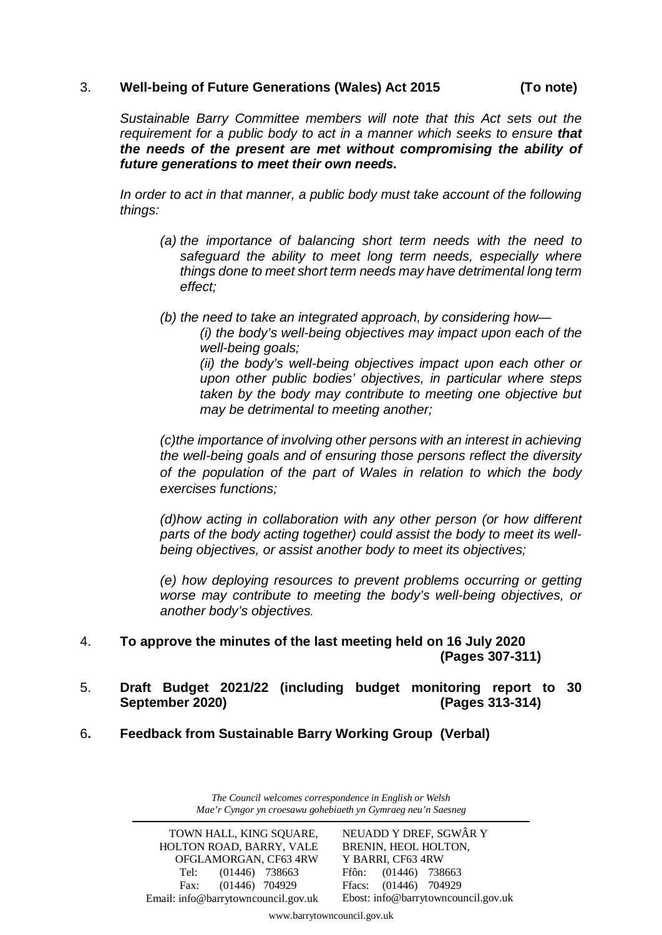#### 3. **Well-being of Future Generations (Wales) Act 2015 (To note)**

*Sustainable Barry Committee members will note that this Act sets out the requirement for a public body to act in a manner which seeks to ensure that the needs of the present are met without compromising the ability of future generations to meet their own needs.*

In order to act in that manner, a public body must take account of the following *things:*

- *(a) the importance of balancing short term needs with the need to safeguard the ability to meet long term needs, especially where things done to meet short term needs may have detrimental long term effect;*
- *(b) the need to take an integrated approach, by considering how—*

*(i) the body's well-being objectives may impact upon each of the well-being goals;*

*(ii) the body's well-being objectives impact upon each other or upon other public bodies' objectives, in particular where steps taken by the body may contribute to meeting one objective but may be detrimental to meeting another;*

*(c)the importance of involving other persons with an interest in achieving the well-being goals and of ensuring those persons reflect the diversity of the population of the part of Wales in relation to which the body exercises functions;*

*(d)how acting in collaboration with any other person (or how different parts of the body acting together) could assist the body to meet its wellbeing objectives, or assist another body to meet its objectives;*

*(e) how deploying resources to prevent problems occurring or getting worse may contribute to meeting the body's well-being objectives, or another body's objectives.* 

- 4. **To approve the minutes of the last meeting held on 16 July 2020 (Pages 307-311)**
- 5. **Draft Budget 2021/22 (including budget monitoring report to 30 September 2020) (Pages 313-314)**
- 6**. Feedback from Sustainable Barry Working Group (Verbal)**

*The Council welcomes correspondence in English or Welsh Mae'r Cyngor yn croesawu gohebiaeth yn Gymraeg neu'n Saesneg*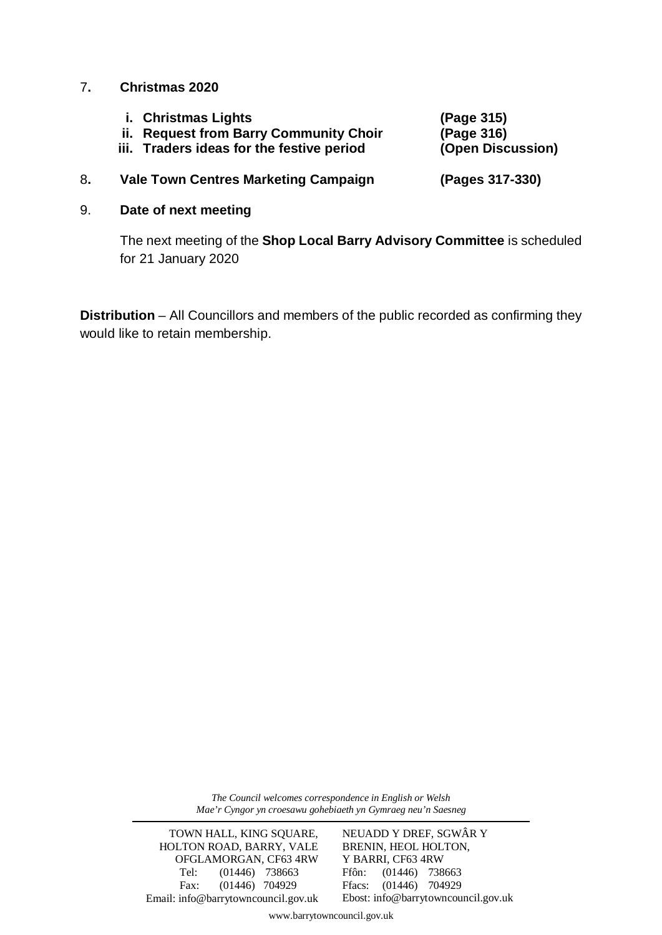#### 7**. Christmas 2020**

- **i. Christmas Lights (Page 315)**
- **ii. Request from Barry Community Choir (Page 316)**
- **iii. Traders ideas for the festive period (Open Discussion)**

#### 8**. Vale Town Centres Marketing Campaign (Pages 317-330)**

#### 9. **Date of next meeting**

The next meeting of the **Shop Local Barry Advisory Committee** is scheduled for 21 January 2020

**Distribution** – All Councillors and members of the public recorded as confirming they would like to retain membership.

> *The Council welcomes correspondence in English or Welsh Mae'r Cyngor yn croesawu gohebiaeth yn Gymraeg neu'n Saesneg*

TOWN HALL, KING SQUARE, HOLTON ROAD, BARRY, VALE OFGLAMORGAN, CF63 4RW Tel: (01446) 738663 Fax: (01446) 704929 Email: info@barrytowncouncil.gov.uk NEUADD Y DREF, SGWÂR Y BRENIN, HEOL HOLTON, Y BARRI, CF63 4RW Ffôn: (01446) 738663 Ffacs: (01446) 704929 Ebost: info@barrytowncouncil.gov.uk

www.barrytowncouncil.gov.uk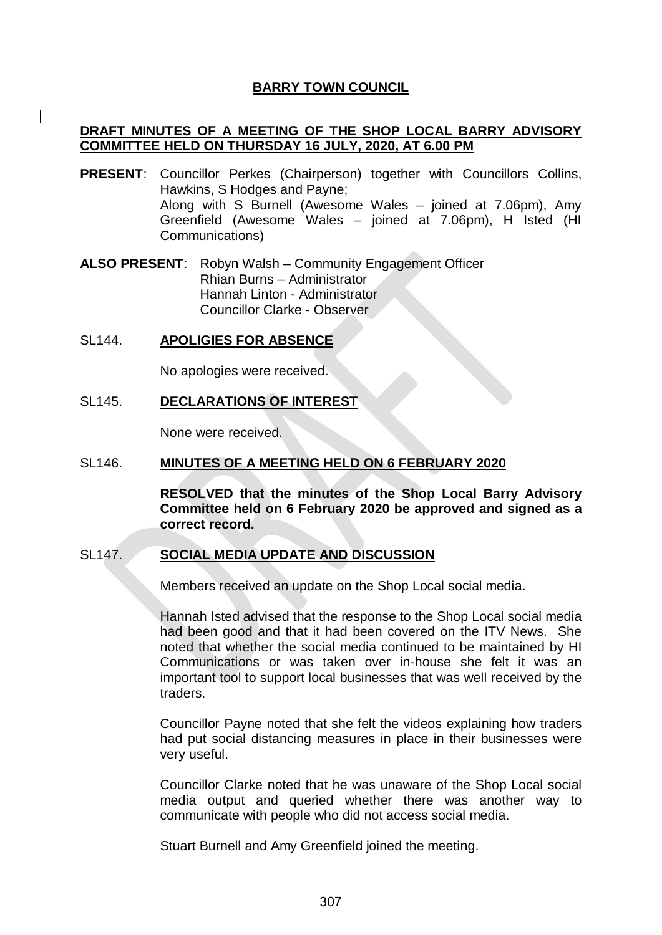#### **BARRY TOWN COUNCIL**

#### **DRAFT MINUTES OF A MEETING OF THE SHOP LOCAL BARRY ADVISORY COMMITTEE HELD ON THURSDAY 16 JULY, 2020, AT 6.00 PM**

**PRESENT**: Councillor Perkes (Chairperson) together with Councillors Collins, Hawkins, S Hodges and Payne; Along with S Burnell (Awesome Wales – joined at 7.06pm), Amy Greenfield (Awesome Wales – joined at 7.06pm), H Isted (HI Communications)

**ALSO PRESENT**: Robyn Walsh – Community Engagement Officer Rhian Burns – Administrator Hannah Linton - Administrator Councillor Clarke - Observer

#### SL144. **APOLIGIES FOR ABSENCE**

No apologies were received.

#### SL145. **DECLARATIONS OF INTEREST**

None were received.

#### SL146. **MINUTES OF A MEETING HELD ON 6 FEBRUARY 2020**

**RESOLVED that the minutes of the Shop Local Barry Advisory Committee held on 6 February 2020 be approved and signed as a correct record.**

#### SL147. **SOCIAL MEDIA UPDATE AND DISCUSSION**

Members received an update on the Shop Local social media.

Hannah Isted advised that the response to the Shop Local social media had been good and that it had been covered on the ITV News. She noted that whether the social media continued to be maintained by HI Communications or was taken over in-house she felt it was an important tool to support local businesses that was well received by the traders.

Councillor Payne noted that she felt the videos explaining how traders had put social distancing measures in place in their businesses were very useful.

Councillor Clarke noted that he was unaware of the Shop Local social media output and queried whether there was another way to communicate with people who did not access social media.

Stuart Burnell and Amy Greenfield joined the meeting.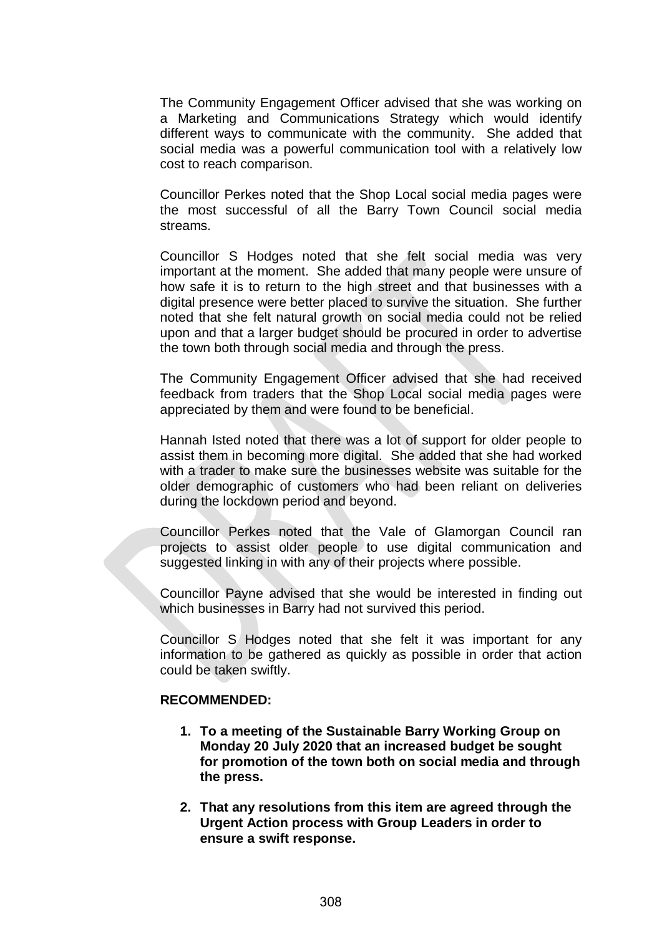The Community Engagement Officer advised that she was working on a Marketing and Communications Strategy which would identify different ways to communicate with the community. She added that social media was a powerful communication tool with a relatively low cost to reach comparison.

Councillor Perkes noted that the Shop Local social media pages were the most successful of all the Barry Town Council social media streams.

Councillor S Hodges noted that she felt social media was very important at the moment. She added that many people were unsure of how safe it is to return to the high street and that businesses with a digital presence were better placed to survive the situation. She further noted that she felt natural growth on social media could not be relied upon and that a larger budget should be procured in order to advertise the town both through social media and through the press.

The Community Engagement Officer advised that she had received feedback from traders that the Shop Local social media pages were appreciated by them and were found to be beneficial.

Hannah Isted noted that there was a lot of support for older people to assist them in becoming more digital. She added that she had worked with a trader to make sure the businesses website was suitable for the older demographic of customers who had been reliant on deliveries during the lockdown period and beyond.

Councillor Perkes noted that the Vale of Glamorgan Council ran projects to assist older people to use digital communication and suggested linking in with any of their projects where possible.

Councillor Payne advised that she would be interested in finding out which businesses in Barry had not survived this period.

Councillor S Hodges noted that she felt it was important for any information to be gathered as quickly as possible in order that action could be taken swiftly.

#### **RECOMMENDED:**

- **1. To a meeting of the Sustainable Barry Working Group on Monday 20 July 2020 that an increased budget be sought for promotion of the town both on social media and through the press.**
- **2. That any resolutions from this item are agreed through the Urgent Action process with Group Leaders in order to ensure a swift response.**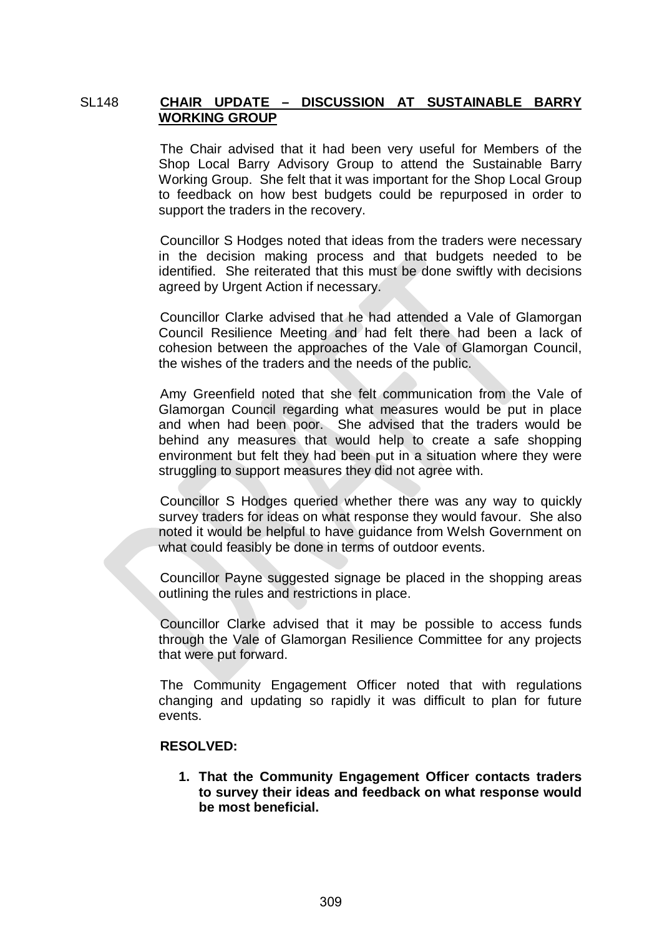#### SL148 **CHAIR UPDATE – DISCUSSION AT SUSTAINABLE BARRY WORKING GROUP**

The Chair advised that it had been very useful for Members of the Shop Local Barry Advisory Group to attend the Sustainable Barry Working Group. She felt that it was important for the Shop Local Group to feedback on how best budgets could be repurposed in order to support the traders in the recovery.

Councillor S Hodges noted that ideas from the traders were necessary in the decision making process and that budgets needed to be identified. She reiterated that this must be done swiftly with decisions agreed by Urgent Action if necessary.

Councillor Clarke advised that he had attended a Vale of Glamorgan Council Resilience Meeting and had felt there had been a lack of cohesion between the approaches of the Vale of Glamorgan Council, the wishes of the traders and the needs of the public.

Amy Greenfield noted that she felt communication from the Vale of Glamorgan Council regarding what measures would be put in place and when had been poor. She advised that the traders would be behind any measures that would help to create a safe shopping environment but felt they had been put in a situation where they were struggling to support measures they did not agree with.

Councillor S Hodges queried whether there was any way to quickly survey traders for ideas on what response they would favour. She also noted it would be helpful to have guidance from Welsh Government on what could feasibly be done in terms of outdoor events.

Councillor Payne suggested signage be placed in the shopping areas outlining the rules and restrictions in place.

Councillor Clarke advised that it may be possible to access funds through the Vale of Glamorgan Resilience Committee for any projects that were put forward.

The Community Engagement Officer noted that with regulations changing and updating so rapidly it was difficult to plan for future events.

#### **RESOLVED:**

**1. That the Community Engagement Officer contacts traders to survey their ideas and feedback on what response would be most beneficial.**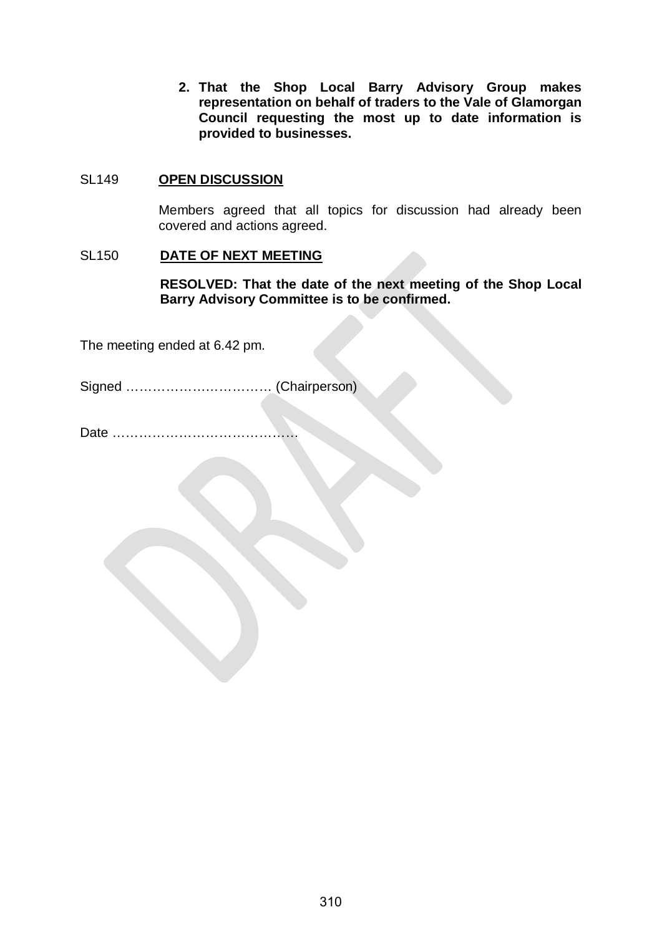**2. That the Shop Local Barry Advisory Group makes representation on behalf of traders to the Vale of Glamorgan Council requesting the most up to date information is provided to businesses.**

#### SL149 **OPEN DISCUSSION**

Members agreed that all topics for discussion had already been covered and actions agreed.

#### SL150 **DATE OF NEXT MEETING**

**RESOLVED: That the date of the next meeting of the Shop Local Barry Advisory Committee is to be confirmed.**

The meeting ended at 6.42 pm.

Signed …………………………… (Chairperson)

Date ……………………………………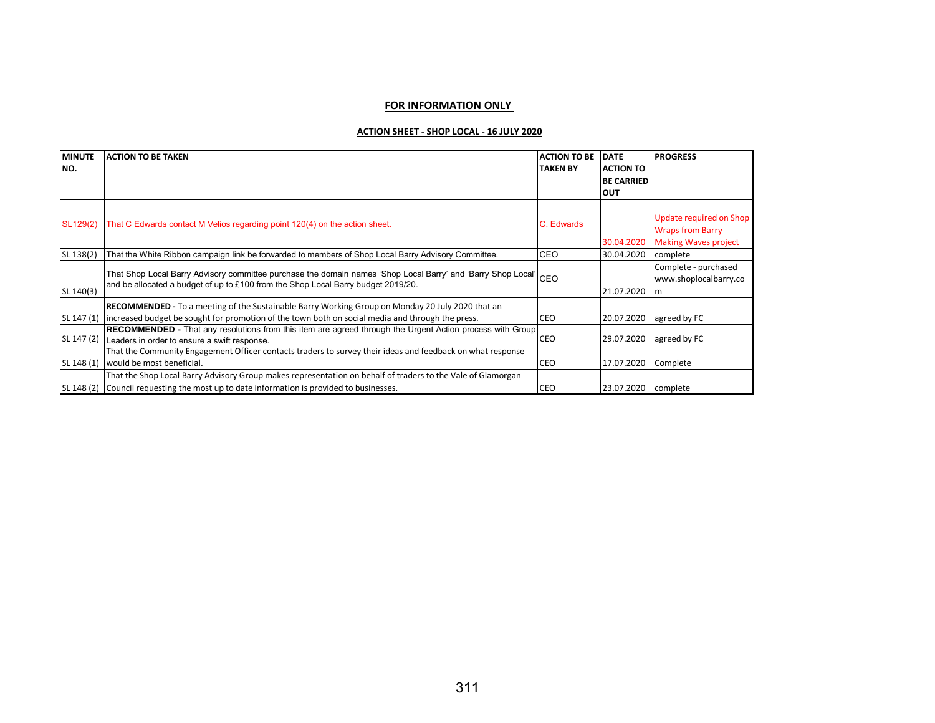#### **FOR INFORMATION ONLY**

#### **ACTION SHEET - SHOP LOCAL - 16 JULY 2020**

| <b>MINUTE</b><br>INO. | <b>ACTION TO BE TAKEN</b>                                                                                        | <b>ACTION TO BE</b><br><b>TAKEN BY</b> | <b>DATE</b><br><b>ACTION TO</b><br><b>BE CARRIED</b> | <b>PROGRESS</b>                                    |
|-----------------------|------------------------------------------------------------------------------------------------------------------|----------------------------------------|------------------------------------------------------|----------------------------------------------------|
|                       |                                                                                                                  |                                        | <b>OUT</b>                                           |                                                    |
| SL129(2)              | That C Edwards contact M Velios regarding point 120(4) on the action sheet.                                      | C. Edwards                             |                                                      | Update required on Shop<br><b>Wraps from Barry</b> |
|                       |                                                                                                                  |                                        | 30.04.2020                                           | <b>Making Waves project</b>                        |
| SL 138(2)             | That the White Ribbon campaign link be forwarded to members of Shop Local Barry Advisory Committee.              | <b>CEO</b>                             | 30.04.2020                                           | complete                                           |
|                       | That Shop Local Barry Advisory committee purchase the domain names 'Shop Local Barry' and 'Barry Shop Local' CEO |                                        |                                                      | Complete - purchased                               |
|                       | and be allocated a budget of up to £100 from the Shop Local Barry budget 2019/20.                                |                                        |                                                      | www.shoplocalbarry.co                              |
| SL 140(3)             |                                                                                                                  |                                        | 21.07.2020                                           | $\mathsf{Im}$                                      |
|                       | <b>RECOMMENDED</b> - To a meeting of the Sustainable Barry Working Group on Monday 20 July 2020 that an          |                                        |                                                      |                                                    |
| SL 147 (1)            | lincreased budget be sought for promotion of the town both on social media and through the press.                | <b>CEO</b>                             | 20.07.2020                                           | agreed by FC                                       |
|                       | <b>RECOMMENDED</b> - That any resolutions from this item are agreed through the Urgent Action process with Group |                                        |                                                      |                                                    |
| SL 147 (2)            | Leaders in order to ensure a swift response.                                                                     | <b>CEO</b>                             | 29.07.2020                                           | agreed by FC                                       |
|                       | That the Community Engagement Officer contacts traders to survey their ideas and feedback on what response       |                                        |                                                      |                                                    |
| SL 148 (1)            | would be most beneficial.                                                                                        | <b>CEO</b>                             | 17.07.2020                                           | Complete                                           |
|                       | That the Shop Local Barry Advisory Group makes representation on behalf of traders to the Vale of Glamorgan      |                                        |                                                      |                                                    |
| SL 148 (2)            | Council requesting the most up to date information is provided to businesses.                                    | <b>CEO</b>                             | 23.07.2020                                           | complete                                           |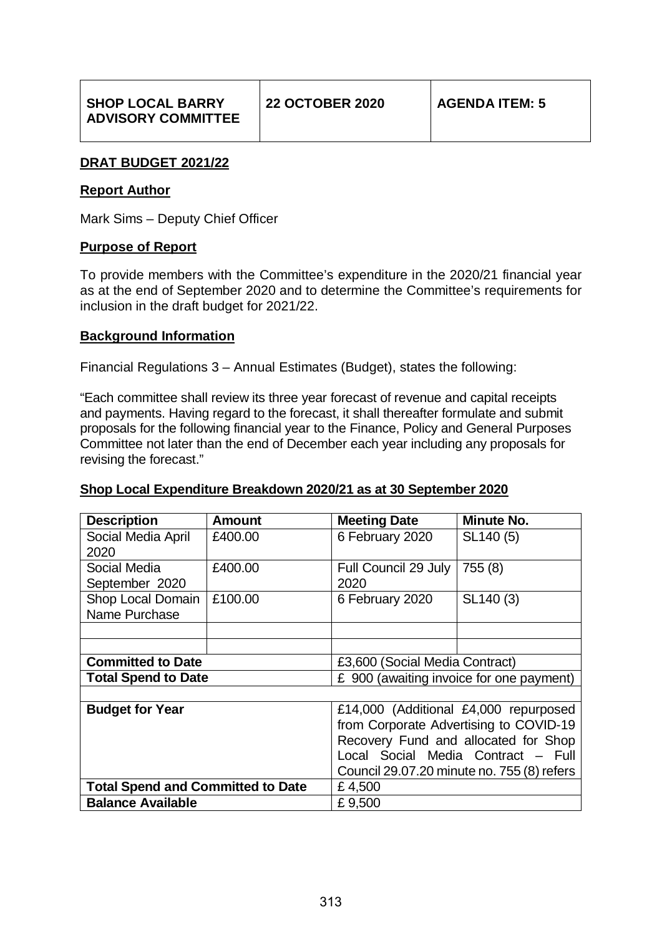#### **DRAT BUDGET 2021/22**

#### **Report Author**

Mark Sims – Deputy Chief Officer

#### **Purpose of Report**

To provide members with the Committee's expenditure in the 2020/21 financial year as at the end of September 2020 and to determine the Committee's requirements for inclusion in the draft budget for 2021/22.

#### **Background Information**

Financial Regulations 3 – Annual Estimates (Budget), states the following:

"Each committee shall review its three year forecast of revenue and capital receipts and payments. Having regard to the forecast, it shall thereafter formulate and submit proposals for the following financial year to the Finance, Policy and General Purposes Committee not later than the end of December each year including any proposals for revising the forecast."

#### **Shop Local Expenditure Breakdown 2020/21 as at 30 September 2020**

| <b>Description</b>                       | <b>Amount</b> | <b>Meeting Date</b>                        | Minute No. |  |  |  |
|------------------------------------------|---------------|--------------------------------------------|------------|--|--|--|
| Social Media April                       | £400.00       | 6 February 2020                            | SL140 (5)  |  |  |  |
| 2020                                     |               |                                            |            |  |  |  |
| Social Media                             | £400.00       | Full Council 29 July                       | 755 (8)    |  |  |  |
| September 2020                           |               | 2020                                       |            |  |  |  |
| Shop Local Domain                        | £100.00       | 6 February 2020                            | SL140 (3)  |  |  |  |
| Name Purchase                            |               |                                            |            |  |  |  |
|                                          |               |                                            |            |  |  |  |
|                                          |               |                                            |            |  |  |  |
| <b>Committed to Date</b>                 |               | £3,600 (Social Media Contract)             |            |  |  |  |
| <b>Total Spend to Date</b>               |               | £ 900 (awaiting invoice for one payment)   |            |  |  |  |
|                                          |               |                                            |            |  |  |  |
| <b>Budget for Year</b>                   |               | £14,000 (Additional £4,000 repurposed      |            |  |  |  |
|                                          |               | from Corporate Advertising to COVID-19     |            |  |  |  |
|                                          |               | Recovery Fund and allocated for Shop       |            |  |  |  |
|                                          |               | Local Social Media Contract - Full         |            |  |  |  |
|                                          |               | Council 29.07.20 minute no. 755 (8) refers |            |  |  |  |
| <b>Total Spend and Committed to Date</b> |               | £4,500                                     |            |  |  |  |
| <b>Balance Available</b>                 |               | £9,500                                     |            |  |  |  |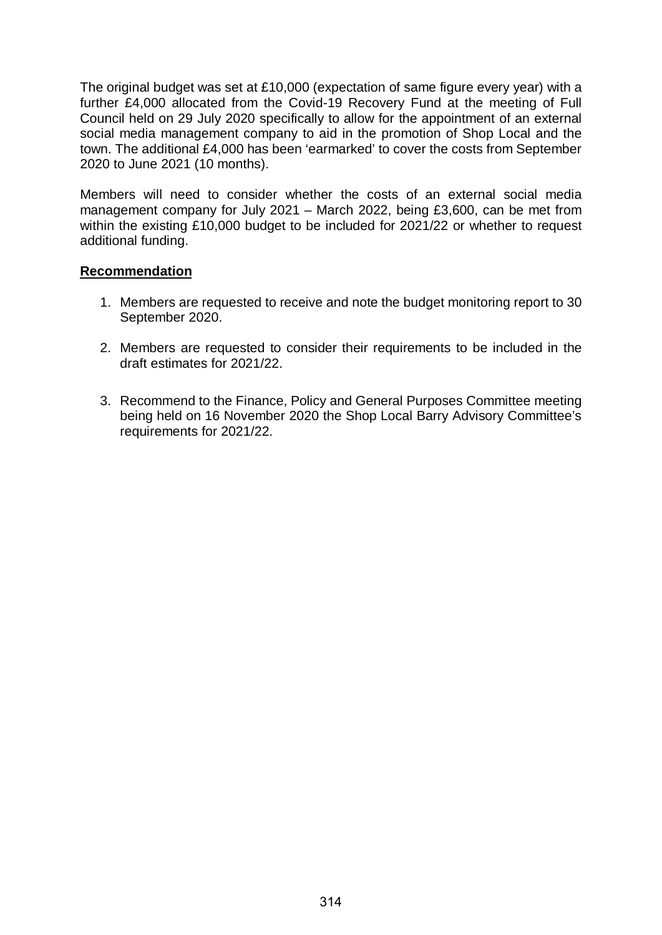The original budget was set at £10,000 (expectation of same figure every year) with a further £4,000 allocated from the Covid-19 Recovery Fund at the meeting of Full Council held on 29 July 2020 specifically to allow for the appointment of an external social media management company to aid in the promotion of Shop Local and the town. The additional £4,000 has been 'earmarked' to cover the costs from September 2020 to June 2021 (10 months).

Members will need to consider whether the costs of an external social media management company for July 2021 – March 2022, being £3,600, can be met from within the existing £10,000 budget to be included for 2021/22 or whether to request additional funding.

#### **Recommendation**

- 1. Members are requested to receive and note the budget monitoring report to 30 September 2020.
- 2. Members are requested to consider their requirements to be included in the draft estimates for 2021/22.
- 3. Recommend to the Finance, Policy and General Purposes Committee meeting being held on 16 November 2020 the Shop Local Barry Advisory Committee's requirements for 2021/22.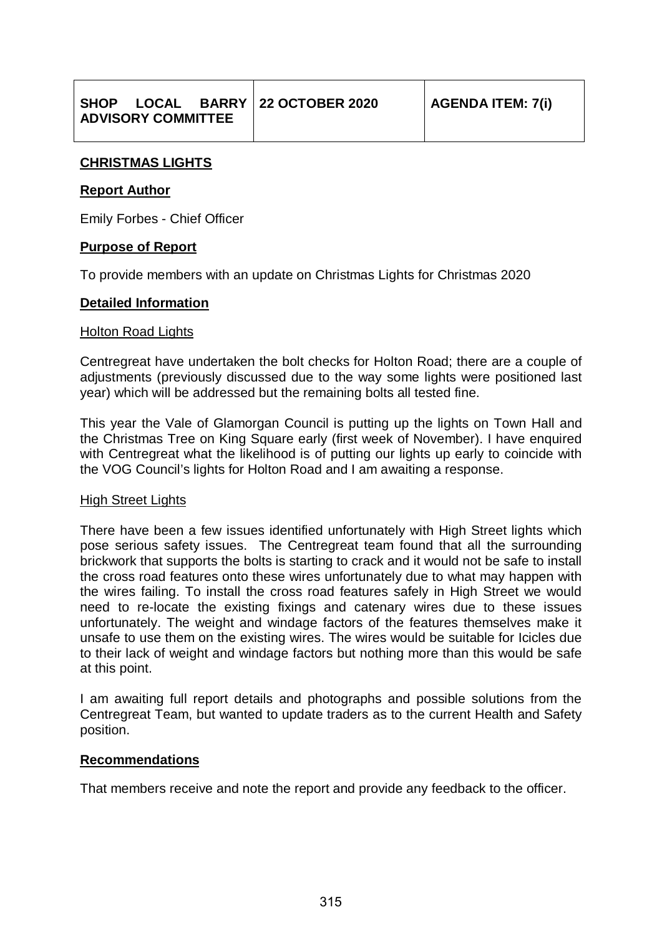|                           |  |  | SHOP LOCAL BARRY 22 OCTOBER 2020 | <b>AGENDA ITEM: 7(i)</b> |
|---------------------------|--|--|----------------------------------|--------------------------|
| <b>ADVISORY COMMITTEE</b> |  |  |                                  |                          |

#### **CHRISTMAS LIGHTS**

#### **Report Author**

Emily Forbes - Chief Officer

#### **Purpose of Report**

To provide members with an update on Christmas Lights for Christmas 2020

#### **Detailed Information**

#### Holton Road Lights

Centregreat have undertaken the bolt checks for Holton Road; there are a couple of adjustments (previously discussed due to the way some lights were positioned last year) which will be addressed but the remaining bolts all tested fine.

This year the Vale of Glamorgan Council is putting up the lights on Town Hall and the Christmas Tree on King Square early (first week of November). I have enquired with Centregreat what the likelihood is of putting our lights up early to coincide with the VOG Council's lights for Holton Road and I am awaiting a response.

#### High Street Lights

There have been a few issues identified unfortunately with High Street lights which pose serious safety issues. The Centregreat team found that all the surrounding brickwork that supports the bolts is starting to crack and it would not be safe to install the cross road features onto these wires unfortunately due to what may happen with the wires failing. To install the cross road features safely in High Street we would need to re-locate the existing fixings and catenary wires due to these issues unfortunately. The weight and windage factors of the features themselves make it unsafe to use them on the existing wires. The wires would be suitable for Icicles due to their lack of weight and windage factors but nothing more than this would be safe at this point.

I am awaiting full report details and photographs and possible solutions from the Centregreat Team, but wanted to update traders as to the current Health and Safety position.

#### **Recommendations**

That members receive and note the report and provide any feedback to the officer.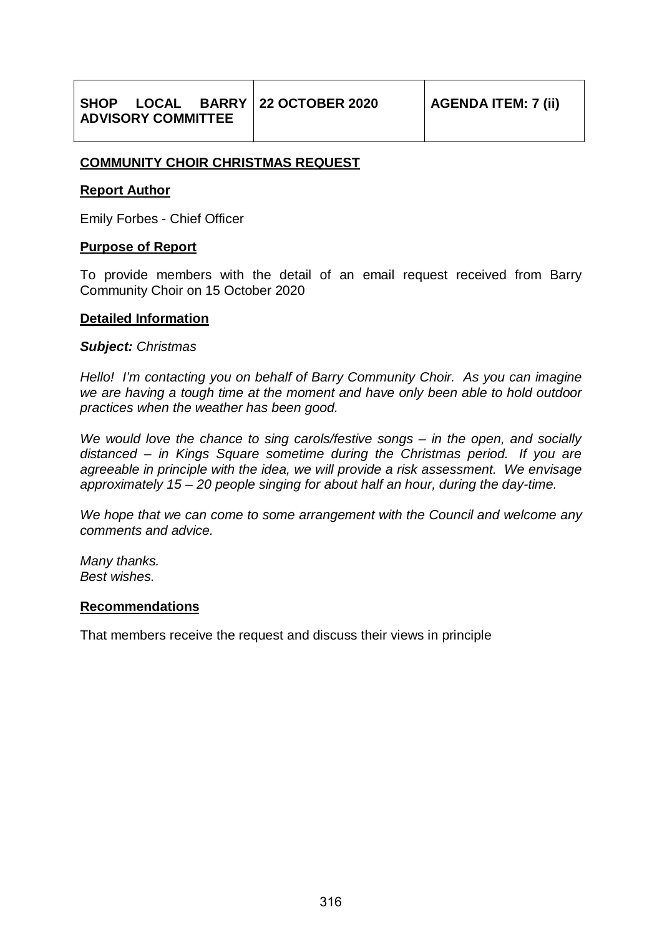#### **COMMUNITY CHOIR CHRISTMAS REQUEST**

#### **Report Author**

Emily Forbes - Chief Officer

#### **Purpose of Report**

To provide members with the detail of an email request received from Barry Community Choir on 15 October 2020

#### **Detailed Information**

#### *Subject: Christmas*

*Hello! I'm contacting you on behalf of Barry Community Choir. As you can imagine we are having a tough time at the moment and have only been able to hold outdoor practices when the weather has been good.*

*We would love the chance to sing carols/festive songs – in the open, and socially distanced – in Kings Square sometime during the Christmas period. If you are agreeable in principle with the idea, we will provide a risk assessment. We envisage approximately 15 – 20 people singing for about half an hour, during the day-time.*

*We hope that we can come to some arrangement with the Council and welcome any comments and advice.*

*Many thanks. Best wishes.*

#### **Recommendations**

That members receive the request and discuss their views in principle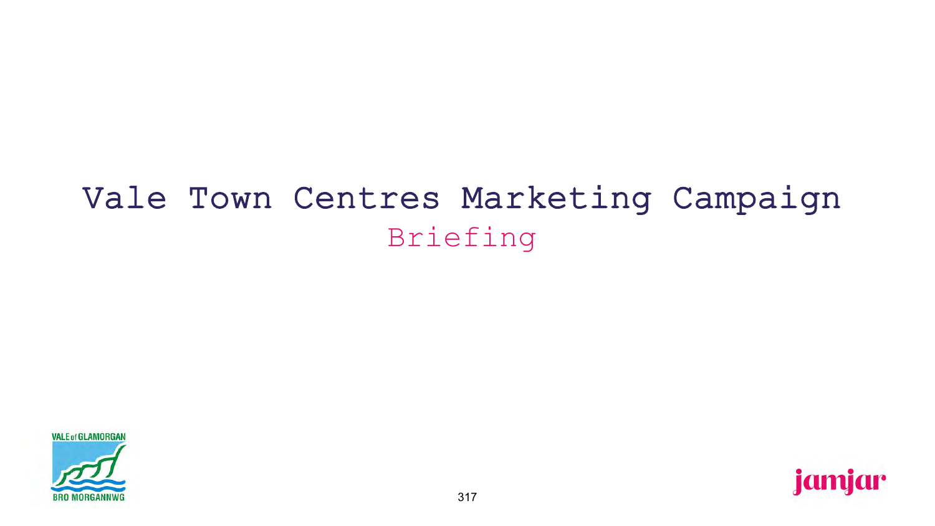# Vale Town Centres Marketing Campaign Briefing

**VALE of GLAMORGAN** 

**BRO MORGANNWG** 

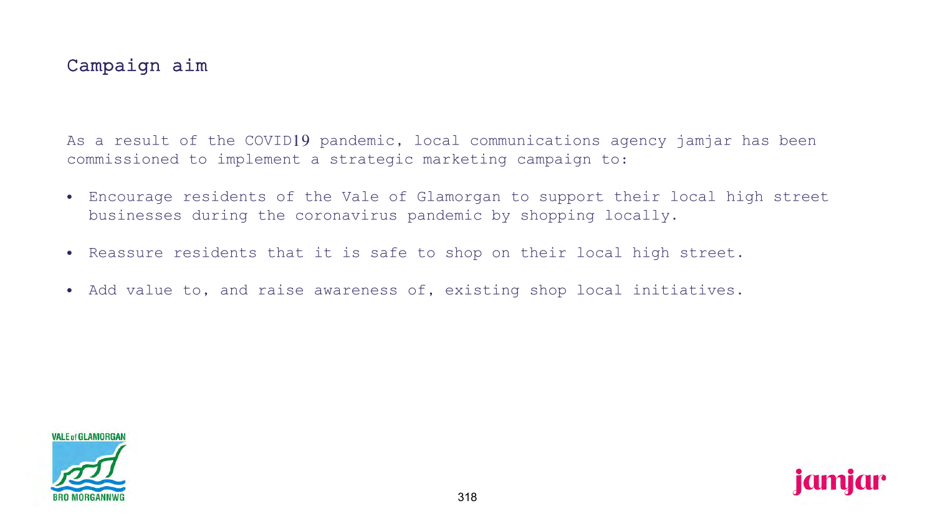## Campaign aim

As a result of the COVID19 pandemic, local communications agency jamjar has been commissioned to implement a strategic marketing campaign to:

- Encourage residents of the Vale of Glamorgan to support their local high street businesses during the coronavirus pandemic by shopping locally.
- Reassure residents that it is safe to shop on their local high street.
- Add value to, and raise awareness of, existing shop local initiatives.



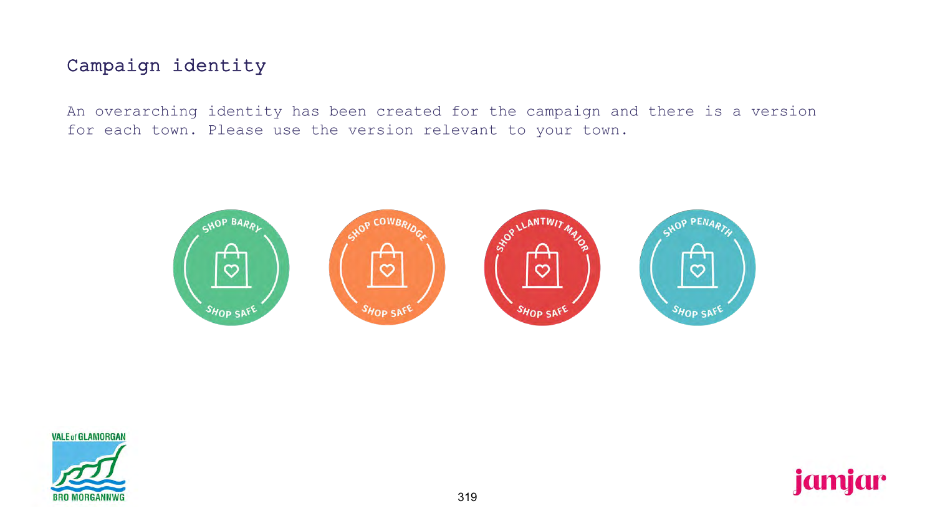## Campaign identity

An overarching identity has been created for the campaign and there is a version for each town. Please use the version relevant to your town.



**VALE of GLAMORGAN** 



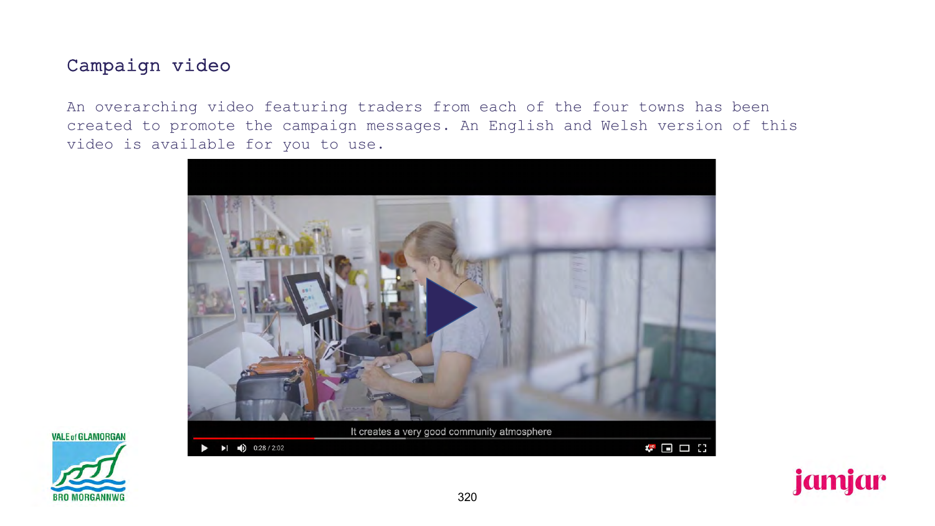## Campaign video

An overarching video featuring traders from each of the four towns has been created to promote the campaign messages. An English and Welsh version of this video is available for you to use.







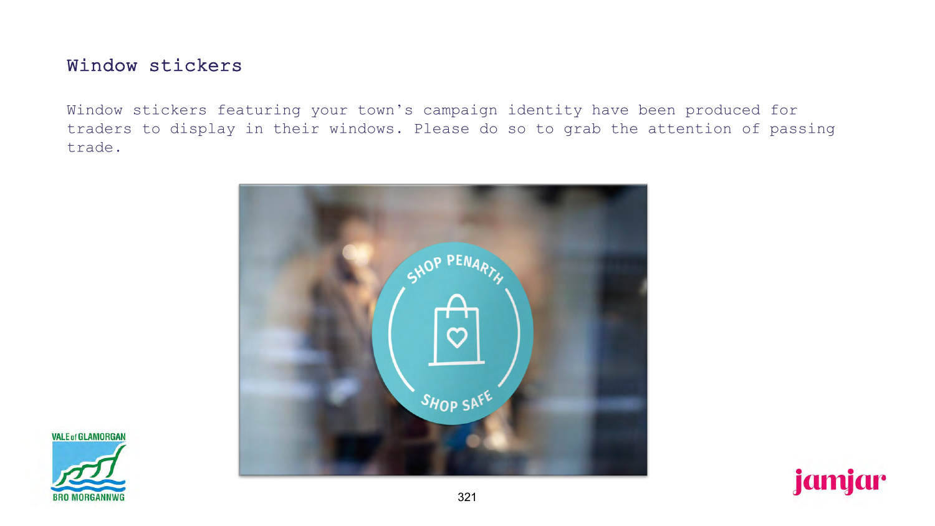## Window stickers

Window stickers featuring your town's campaign identity have been produced for traders to display in their windows. Please do so to grab the attention of passing trade.



**VALE of GLAMORGAN** 



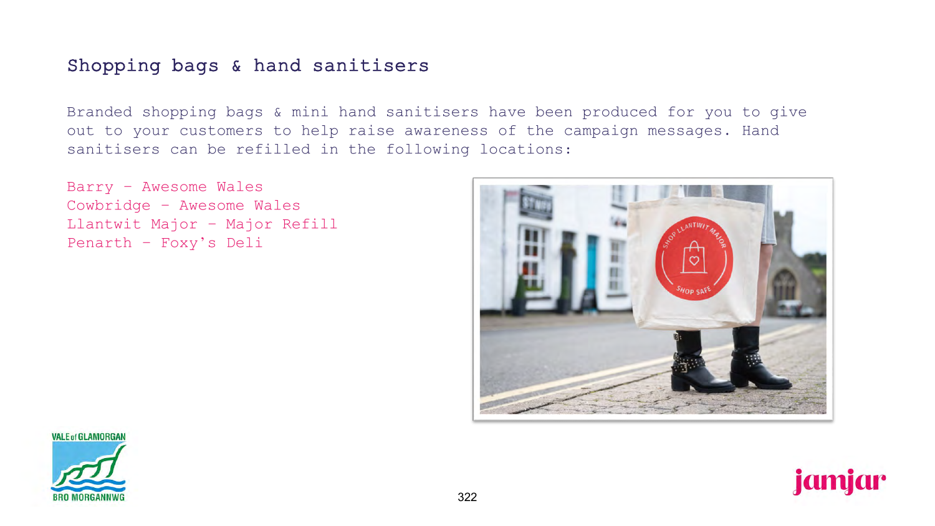## Shopping bags & hand sanitisers

Branded shopping bags & mini hand sanitisers have been produced for you to give out to your customers to help raise awareness of the campaign messages. Hand sanitisers can be refilled in the following locations:

Barry – Awesome Wales Cowbridge – Awesome Wales Llantwit Major – Major Refill Penarth – Foxy's Deli





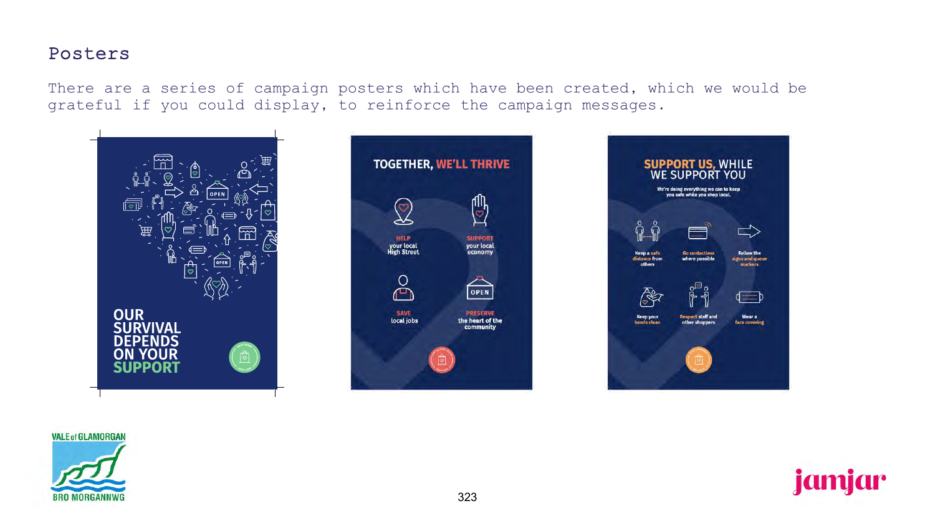### Posters

There are a series of campaign posters which have been created, which we would be grateful if you could display, to reinforce the campaign messages.







**VALE of GLAMORGAN** 



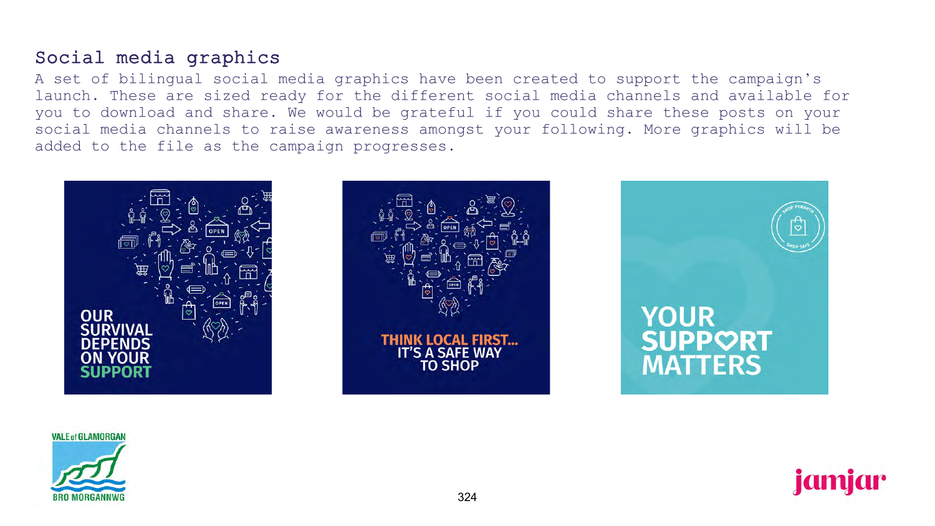## Social media graphics

A set of bilingual social media graphics have been created to support the campaign's launch. These are sized ready for the different social media channels and available for you to download and share. We would be grateful if you could share these posts on your social media channels to raise awareness amongst your following. More graphics will be added to the file as the campaign progresses.



**VALE of GLAMORGAN** 



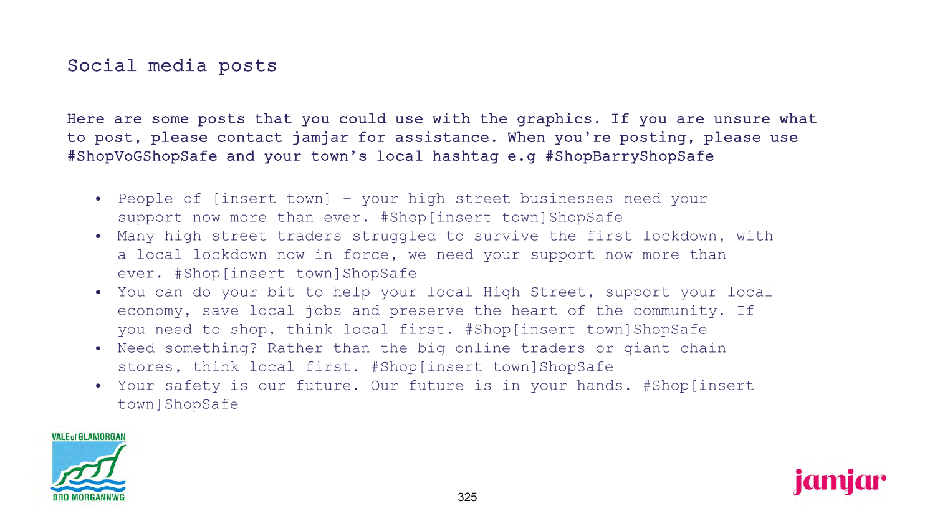## Social media posts

Here are some posts that you could use with the graphics. If you are unsure what to post, please contact jamjar for assistance. When you're posting, please use #ShopVoGShopSafe and your town's local hashtag e.g #ShopBarryShopSafe

- People of [insert town] your high street businesses need your support now more than ever. #Shop[insert town]ShopSafe
- Many high street traders struggled to survive the first lockdown, with a local lockdown now in force, we need your support now more than ever. #Shop[insert town]ShopSafe
- You can do your bit to help your local High Street, support your local economy, save local jobs and preserve the heart of the community. If you need to shop, think local first. #Shop[insert town]ShopSafe
- Need something? Rather than the big online traders or giant chain stores, think local first. #Shop[insert town]ShopSafe
- Your safety is our future. Our future is in your hands. #Shop[insert town]ShopSafe



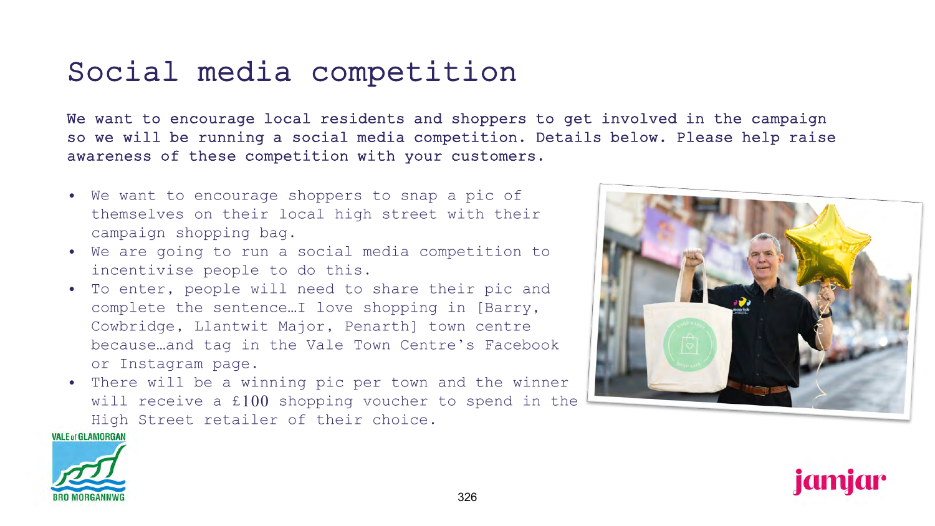## Social media competition

We want to encourage local residents and shoppers to get involved in the campaign so we will be running a social media competition. Details below. Please help raise awareness of these competition with your customers.

- We want to encourage shoppers to snap a pic of themselves on their local high street with their campaign shopping bag.
- We are going to run a social media competition to incentivise people to do this.
- To enter, people will need to share their pic and complete the sentence…I love shopping in [Barry, Cowbridge, Llantwit Major, Penarth] town centre because…and tag in the Vale Town Centre's Facebook or Instagram page.
- There will be a winning pic per town and the winner will receive a £100 shopping voucher to spend in the High Street retailer of their choice.

**VALE of GLAMORGAN** 





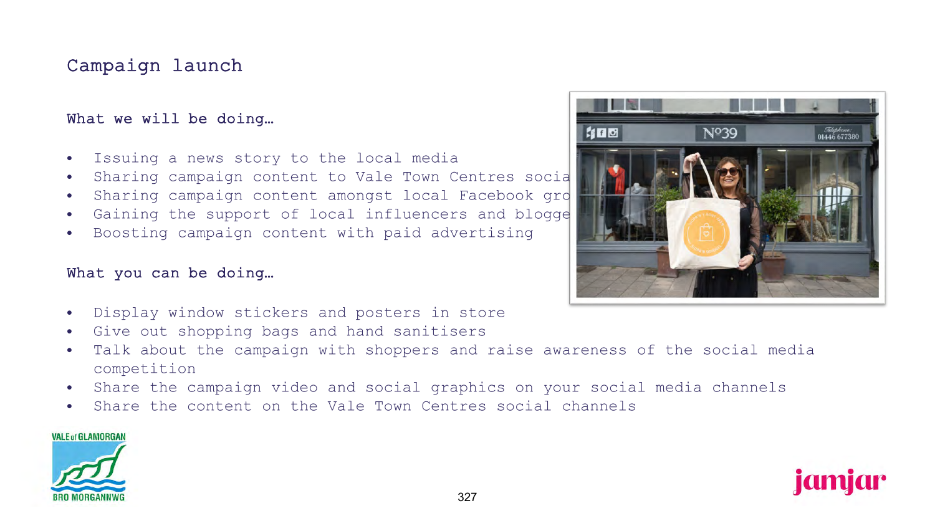## Campaign launch

### What we will be doing…

- Issuing a news story to the local media
- Sharing campaign content to Vale Town Centres social
- Sharing campaign content amongst local Facebook gro
- $\bullet$  Gaining the support of local influencers and blogge
- Boosting campaign content with paid advertising

### What you can be doing…

- Display window stickers and posters in store
- Give out shopping bags and hand sanitisers
- Talk about the campaign with shoppers and raise awareness of the social media competition
- Share the campaign video and social graphics on your social media channels
- Share the content on the Vale Town Centres social channels

#### **VALE of GLAMORGAN**





jamjar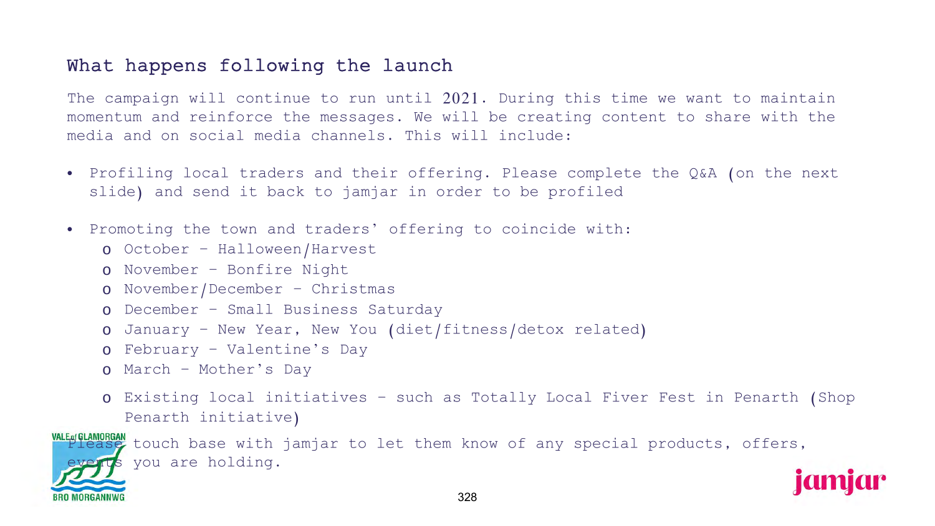## What happens following the launch

The campaign will continue to run until 2021. During this time we want to maintain momentum and reinforce the messages. We will be creating content to share with the media and on social media channels. This will include:

- Profiling local traders and their offering. Please complete the Q&A (on the next slide) and send it back to jamjar in order to be profiled
- Promoting the town and traders' offering to coincide with:
	- o October Halloween/Harvest
	- o November Bonfire Night
	- o November/December Christmas
	- o December Small Business Saturday
	- o January New Year, New You (diet/fitness/detox related)
	- o February Valentine's Day
	- o March Mother's Day
	- o Existing local initiatives such as Totally Local Fiver Fest in Penarth (Shop Penarth initiative)

**WALE OF LAMORGAN**<br>**Please** touch base with jamjar to let them know of any special products, offers, s you are holding.

**Idmidr**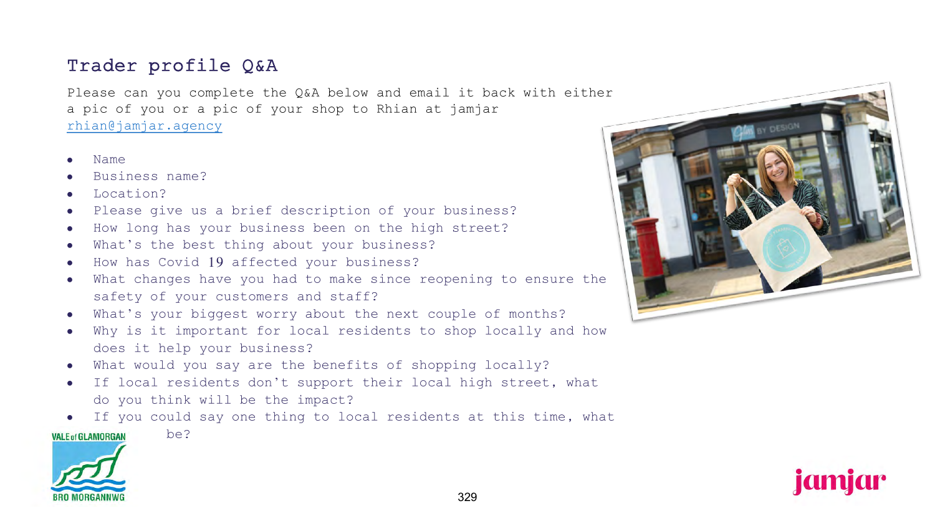## Trader profile Q&A

Please can you complete the Q&A below and email it back with either a pic of you or a pic of your shop to Rhian at jamjar [rhian@jamjar.agency](mailto:rhian@jamjar.agency)

- Name
- Business name?
- Location?
- Please give us a brief description of your business?
- How long has your business been on the high street?
- What's the best thing about your business?
- How has Covid 19 affected your business?
- What changes have you had to make since reopening to ensure the safety of your customers and staff?
- What's your biggest worry about the next couple of months?
- Why is it important for local residents to shop locally and how does it help your business?
- What would you say are the benefits of shopping locally?
- If local residents don't support their local high street, what do you think will be the impact?

If you could say one thing to local residents at this time, what

#### $VALE of GLAMORGAN$  be?